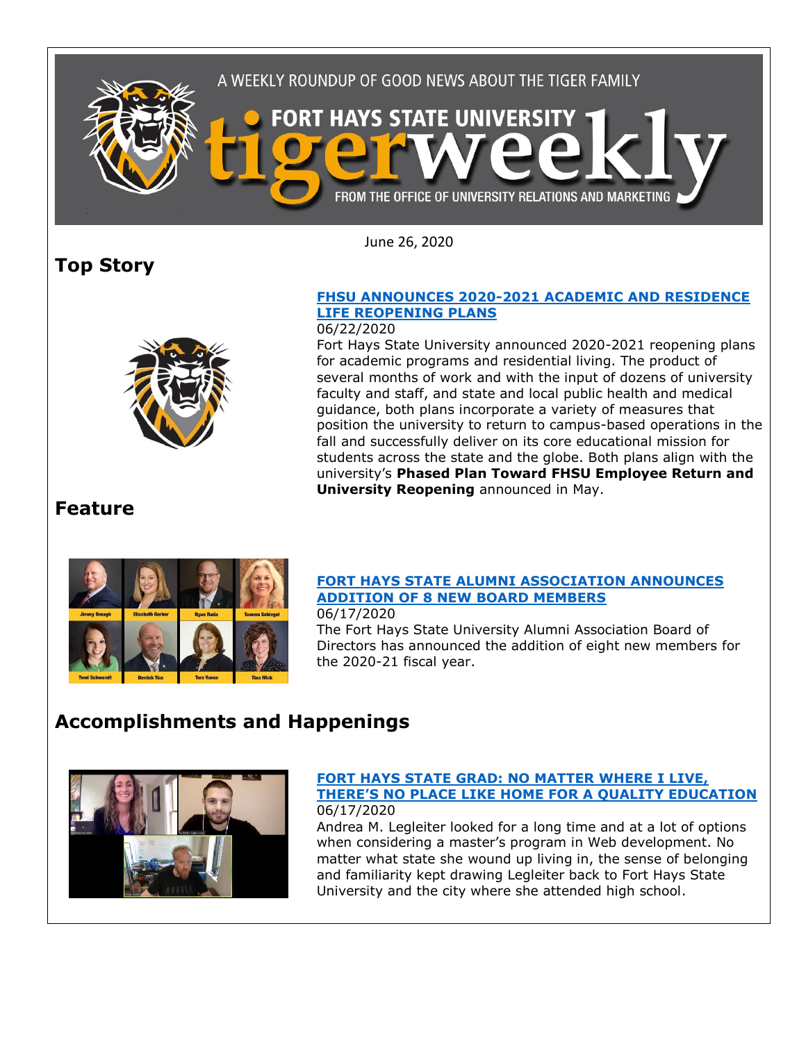

June 26, 2020

# **Top Story**



### **[FHSU ANNOUNCES 2020-2021 ACADEMIC AND RESIDENCE](https://www.fhsu.edu/news/2020/06/fhsu-announces-2020-2021-academic-and-residence-life-reopening-plans)  [LIFE REOPENING PLANS](https://www.fhsu.edu/news/2020/06/fhsu-announces-2020-2021-academic-and-residence-life-reopening-plans)**

#### 06/22/2020

Fort Hays State University announced 2020-2021 reopening plans for academic programs and residential living. The product of several months of work and with the input of dozens of university faculty and staff, and state and local public health and medical guidance, both plans incorporate a variety of measures that position the university to return to campus-based operations in the fall and successfully deliver on its core educational mission for students across the state and the globe. Both plans align with the university's **[Phased Plan Toward FHSU Employee Return and](https://linkprotect.cudasvc.com/url?a=https%3a%2f%2fwww.fhsu.edu%2fcovid-19-response%2fupdates%2ffhsu_reopeningplan_v7&c=E,1,E9IrHfqZc1RFOpT_2iqtmlVtgeqLwrT5NmwKdmWN50MiWSlDBgFBUXvMngphci4v712_LOGVHbS55tDPM7zdvX6tKxrD_NrrYe6P368My5P0Kxoi34ptemGlDth-Hg,,&typo=1)  University [Reopening](https://linkprotect.cudasvc.com/url?a=https%3a%2f%2fwww.fhsu.edu%2fcovid-19-response%2fupdates%2ffhsu_reopeningplan_v7&c=E,1,E9IrHfqZc1RFOpT_2iqtmlVtgeqLwrT5NmwKdmWN50MiWSlDBgFBUXvMngphci4v712_LOGVHbS55tDPM7zdvX6tKxrD_NrrYe6P368My5P0Kxoi34ptemGlDth-Hg,,&typo=1)** announced in May.

## **Feature**



#### **[FORT HAYS STATE ALUMNI ASSOCIATION ANNOUNCES](https://www.fhsu.edu/news/2020/06/fort-hays-state-alumni-association-announces-addition-of-8-new-board-members)  [ADDITION OF 8 NEW BOARD MEMBERS](https://www.fhsu.edu/news/2020/06/fort-hays-state-alumni-association-announces-addition-of-8-new-board-members)** 06/17/2020

The Fort Hays State University Alumni Association Board of Directors has announced the addition of eight new members for the 2020-21 fiscal year.

# **Accomplishments and Happenings**



#### **[FORT HAYS STATE GRAD: NO MATTER WHERE I LIVE,](https://www.fhsu.edu/news/2020/06/fort-hays-state-grad-no-matter-where-i-live,-theres-no-place-like-home-for-a-quality-education)  THERE'S N[O PLACE LIKE HOME FOR A QUALITY EDUCATION](https://www.fhsu.edu/news/2020/06/fort-hays-state-grad-no-matter-where-i-live,-theres-no-place-like-home-for-a-quality-education)** 06/17/2020

Andrea M. Legleiter looked for a long time and at a lot of options when considering a master's program in Web development. No matter what state she wound up living in, the sense of belonging and familiarity kept drawing Legleiter back to Fort Hays State University and the city where she attended high school.